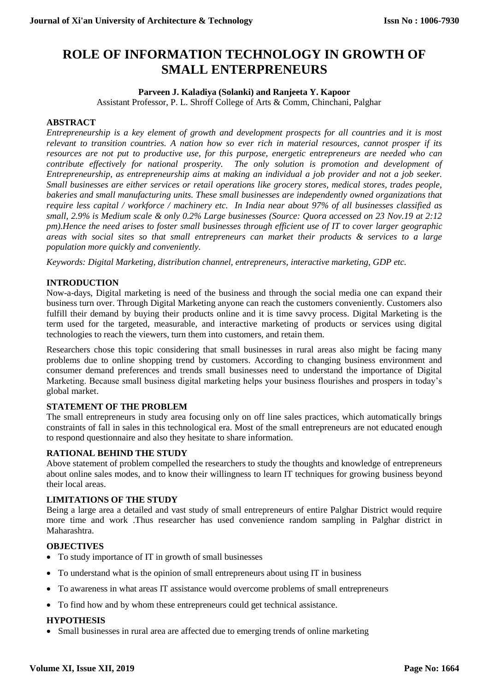# **ROLE OF INFORMATION TECHNOLOGY IN GROWTH OF SMALL ENTERPRENEURS**

#### **Parveen J. Kaladiya (Solanki) and Ranjeeta Y. Kapoor**

Assistant Professor, P. L. Shroff College of Arts & Comm, Chinchani, Palghar

#### **ABSTRACT**

*Entrepreneurship is a key element of growth and development prospects for all countries and it is most relevant to transition countries. A nation how so ever rich in material resources, cannot prosper if its resources are not put to productive use, for this purpose, energetic entrepreneurs are needed who can contribute effectively for national prosperity. The only solution is promotion and development of Entrepreneurship, as entrepreneurship aims at making an individual a job provider and not a job seeker. Small businesses are either services or retail operations like grocery stores, medical stores, trades people, bakeries and small manufacturing units. These small businesses are independently owned organizations that require less capital / workforce / machinery etc. In India near about 97% of all businesses classified as small, 2.9% is Medium scale & only 0.2% Large businesses (Source: Quora accessed on 23 Nov.19 at 2:12 pm).Hence the need arises to foster small businesses through efficient use of IT to cover larger geographic areas with social sites so that small entrepreneurs can market their products & services to a large population more quickly and conveniently.*

*Keywords: Digital Marketing, distribution channel, entrepreneurs, interactive marketing, GDP etc.*

### **INTRODUCTION**

Now-a-days, Digital marketing is need of the business and through the social media one can expand their business turn over. Through Digital Marketing anyone can reach the customers conveniently. Customers also fulfill their demand by buying their products online and it is time savvy process. Digital Marketing is the term used for the targeted, measurable, and interactive marketing of products or services using digital technologies to reach the viewers, turn them into customers, and retain them.

Researchers chose this topic considering that small businesses in rural areas also might be facing many problems due to online shopping trend by customers. According to changing business environment and consumer demand preferences and trends small businesses need to understand the importance of Digital Marketing. Because small business digital marketing helps your business flourishes and prospers in today's global market.

#### **STATEMENT OF THE PROBLEM**

The small entrepreneurs in study area focusing only on off line sales practices, which automatically brings constraints of fall in sales in this technological era. Most of the small entrepreneurs are not educated enough to respond questionnaire and also they hesitate to share information.

#### **RATIONAL BEHIND THE STUDY**

Above statement of problem compelled the researchers to study the thoughts and knowledge of entrepreneurs about online sales modes, and to know their willingness to learn IT techniques for growing business beyond their local areas.

#### **LIMITATIONS OF THE STUDY**

Being a large area a detailed and vast study of small entrepreneurs of entire Palghar District would require more time and work .Thus researcher has used convenience random sampling in Palghar district in Maharashtra.

#### **OBJECTIVES**

- To study importance of IT in growth of small businesses
- To understand what is the opinion of small entrepreneurs about using IT in business
- To awareness in what areas IT assistance would overcome problems of small entrepreneurs
- To find how and by whom these entrepreneurs could get technical assistance.

#### **HYPOTHESIS**

• Small businesses in rural area are affected due to emerging trends of online marketing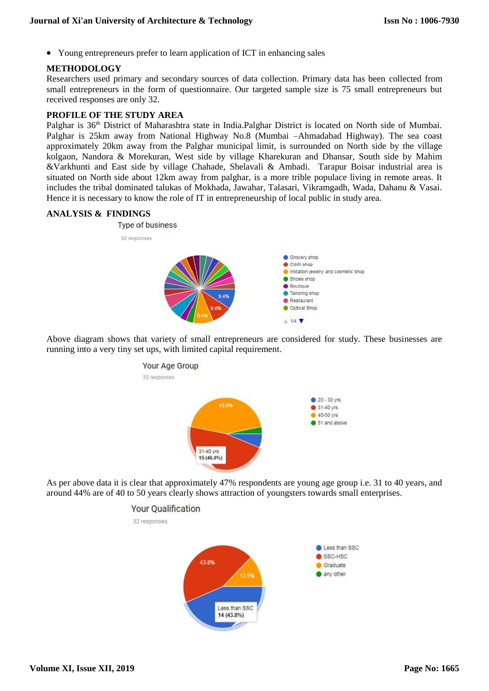Young entrepreneurs prefer to learn application of ICT in enhancing sales

#### **METHODOLOGY**

Researchers used primary and secondary sources of data collection. Primary data has been collected from small entrepreneurs in the form of questionnaire. Our targeted sample size is 75 small entrepreneurs but received responses are only 32.

#### **PROFILE OF THE STUDY AREA**

Palghar is 36<sup>th</sup> District of Maharashtra state in India.Palghar District is located on North side of Mumbai. Palghar is 25km away from National Highway No.8 (Mumbai –Ahmadabad Highway). The sea coast approximately 20km away from the Palghar municipal limit, is surrounded on North side by the village kolgaon, Nandora & Morekuran, West side by village Kharekuran and Dhansar, South side by Mahim &Varkhunti and East side by village Chahade, Shelavali & Ambadi. Tarapur Boisar industrial area is situated on North side about 12km away from palghar, is a more trible populace living in remote areas. It includes the tribal dominated talukas of Mokhada, Jawahar, Talasari, Vikramgadh, Wada, Dahanu & Vasai. Hence it is necessary to know the role of IT in entrepreneurship of local public in study area.

#### **ANALYSIS & FINDINGS**



Above diagram shows that variety of small entrepreneurs are considered for study. These businesses are running into a very tiny set ups, with limited capital requirement.



As per above data it is clear that approximately 47% respondents are young age group i.e. 31 to 40 years, and around 44% are of 40 to 50 years clearly shows attraction of youngsters towards small enterprises.

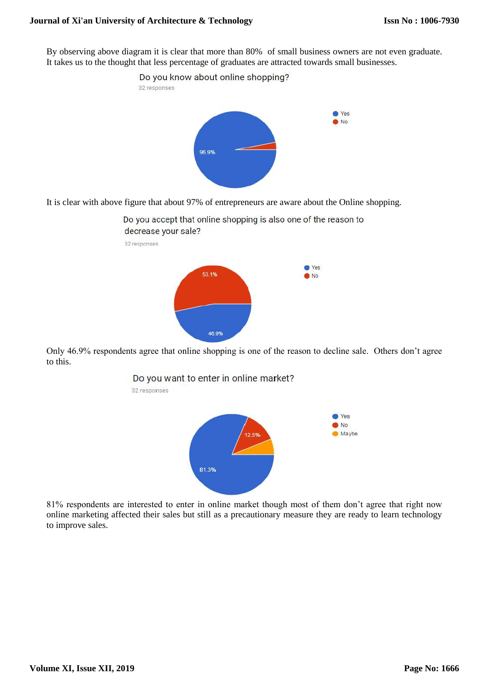By observing above diagram it is clear that more than 80% of small business owners are not even graduate. It takes us to the thought that less percentage of graduates are attracted towards small businesses.



It is clear with above figure that about 97% of entrepreneurs are aware about the Online shopping.



Only 46.9% respondents agree that online shopping is one of the reason to decline sale. Others don't agree to this.



81% respondents are interested to enter in online market though most of them don't agree that right now online marketing affected their sales but still as a precautionary measure they are ready to learn technology to improve sales.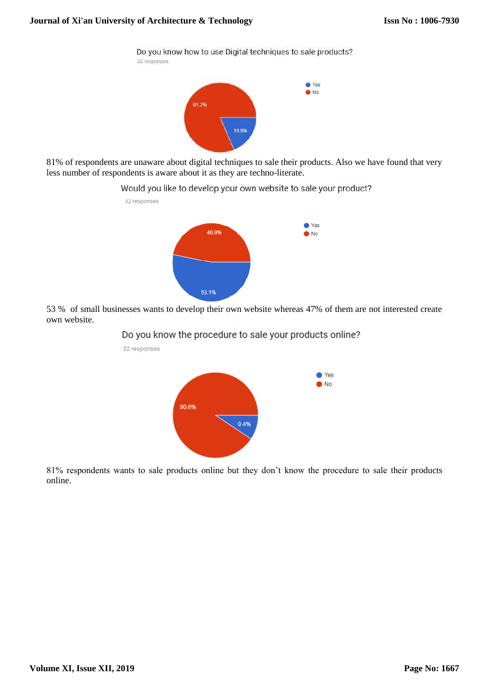Do you know how to use Digital techniques to sale products? 32 responses ● Yes  $\bullet$  No 81.3%

81% of respondents are unaware about digital techniques to sale their products. Also we have found that very less number of respondents is aware about it as they are techno-literate.

18.8%

Would you like to develop your own website to sale your product?



53 % of small businesses wants to develop their own website whereas 47% of them are not interested create own website.

#### Do you know the procedure to sale your products online?



81% respondents wants to sale products online but they don't know the procedure to sale their products online.

**Volume XI, Issue XII, 2019**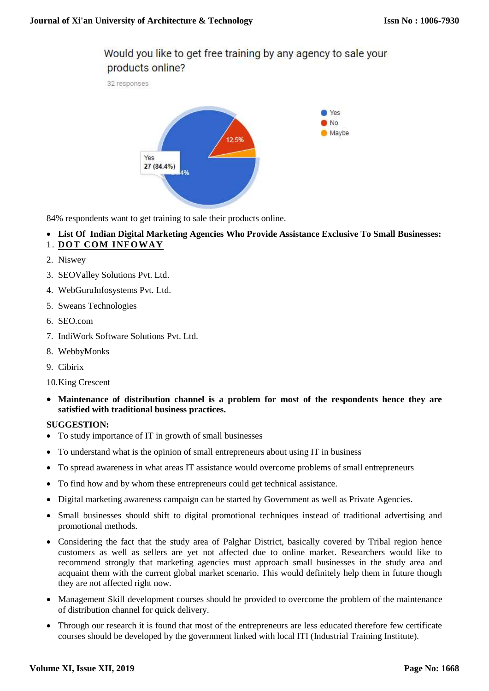## Would you like to get free training by any agency to sale your products online?

32 responses



84% respondents want to get training to sale their products online.

**List Of Indian Digital Marketing Agencies Who Provide Assistance Exclusive To Small Businesses:**

## 1. **[DOT COM INFOWAY](https://www.dotcominfoway.com/mobile-application-development/mobile-apps-marketing/?utm_source=themanifest.com&utm_medium=sponsorship)**

- 2. Niswey
- 3. SEOValley Solutions Pvt. Ltd.
- 4. WebGuruInfosystems Pvt. Ltd.
- 5. Sweans Technologies
- 6. SEO.com
- 7. IndiWork Software Solutions Pvt. Ltd.
- 8. WebbyMonks
- 9. Cibirix
- 10.King Crescent
- **Maintenance of distribution channel is a problem for most of the respondents hence they are satisfied with traditional business practices.**

#### **SUGGESTION:**

- To study importance of IT in growth of small businesses
- To understand what is the opinion of small entrepreneurs about using IT in business
- To spread awareness in what areas IT assistance would overcome problems of small entrepreneurs
- To find how and by whom these entrepreneurs could get technical assistance.
- Digital marketing awareness campaign can be started by Government as well as Private Agencies.
- Small businesses should shift to digital promotional techniques instead of traditional advertising and promotional methods.
- Considering the fact that the study area of Palghar District, basically covered by Tribal region hence customers as well as sellers are yet not affected due to online market. Researchers would like to recommend strongly that marketing agencies must approach small businesses in the study area and acquaint them with the current global market scenario. This would definitely help them in future though they are not affected right now.
- Management Skill development courses should be provided to overcome the problem of the maintenance of distribution channel for quick delivery.
- Through our research it is found that most of the entrepreneurs are less educated therefore few certificate courses should be developed by the government linked with local ITI (Industrial Training Institute).